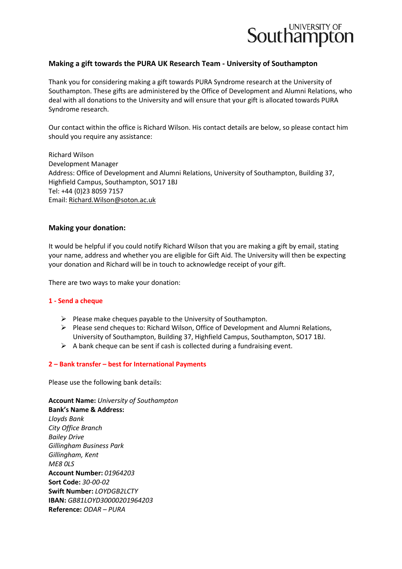

## **Making a gift towards the PURA UK Research Team - University of Southampton**

Thank you for considering making a gift towards PURA Syndrome research at the University of Southampton. These gifts are administered by the Office of Development and Alumni Relations, who deal with all donations to the University and will ensure that your gift is allocated towards PURA Syndrome research.

Our contact within the office is Richard Wilson. His contact details are below, so please contact him should you require any assistance:

Richard Wilson Development Manager Address: Office of Development and Alumni Relations, University of Southampton, Building 37, Highfield Campus, Southampton, SO17 1BJ Tel: +44 (0)23 8059 7157 Email: [Richard.Wilson@soton.ac.uk](mailto:Richard.Wilson@soton.ac.uk)

### **Making your donation:**

It would be helpful if you could notify Richard Wilson that you are making a gift by email, stating your name, address and whether you are eligible for Gift Aid. The University will then be expecting your donation and Richard will be in touch to acknowledge receipt of your gift.

There are two ways to make your donation:

### **1 - Send a cheque**

- $\triangleright$  Please make cheques payable to the University of Southampton.
- $\triangleright$  Please send cheques to: Richard Wilson, Office of Development and Alumni Relations, University of Southampton, Building 37, Highfield Campus, Southampton, SO17 1BJ.
- $\triangleright$  A bank cheque can be sent if cash is collected during a fundraising event.

### **2 – Bank transfer – best for International Payments**

Please use the following bank details:

**Account Name:** *University of Southampton* **Bank's Name & Address:** *Lloyds Bank City Office Branch Bailey Drive Gillingham Business Park Gillingham, Kent ME8 0LS* **Account Number:** *01964203* **Sort Code:** *30-00-02* **Swift Number:** *LOYDGB2LCTY* **IBAN:** *GB81LOYD30000201964203* **Reference:** *ODAR – PURA*